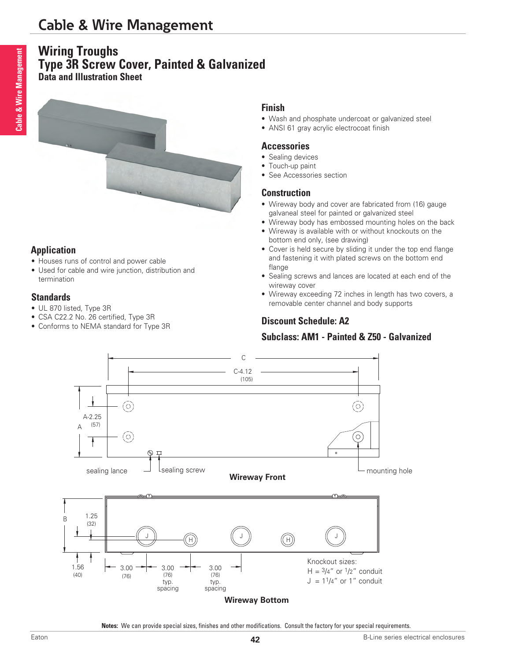# **Cable & Wire Management**

# **Wiring Troughs Type 3R Screw Cover, Painted & Galvanized**

**Data and Illustration Sheet**



### **Application**

- Houses runs of control and power cable
- Used for cable and wire junction, distribution and termination

#### **Standards**

- UL 870 listed, Type 3R
- CSA C22.2 No. 26 certified, Type 3R
- Conforms to NEMA standard for Type 3R

#### **Finish**

- Wash and phosphate undercoat or galvanized steel
- ANSI 61 gray acrylic electrocoat finish

#### **Accessories**

- Sealing devices
- Touch-up paint
- See Accessories section

#### **Construction**

- Wireway body and cover are fabricated from (16) gauge galvaneal steel for painted or galvanized steel
- Wireway body has embossed mounting holes on the back
- Wireway is available with or without knockouts on the bottom end only, (see drawing)
- Cover is held secure by sliding it under the top end flange and fastening it with plated screws on the bottom end flange
- Sealing screws and lances are located at each end of the wireway cover
- Wireway exceeding 72 inches in length has two covers, a removable center channel and body supports

# **Discount Schedule: A2**

## **Subclass: AM1 - Painted & Z50 - Galvanized**



**Notes:** We can provide special sizes, finishes and other modifications. Consult the factory for your special requirements.